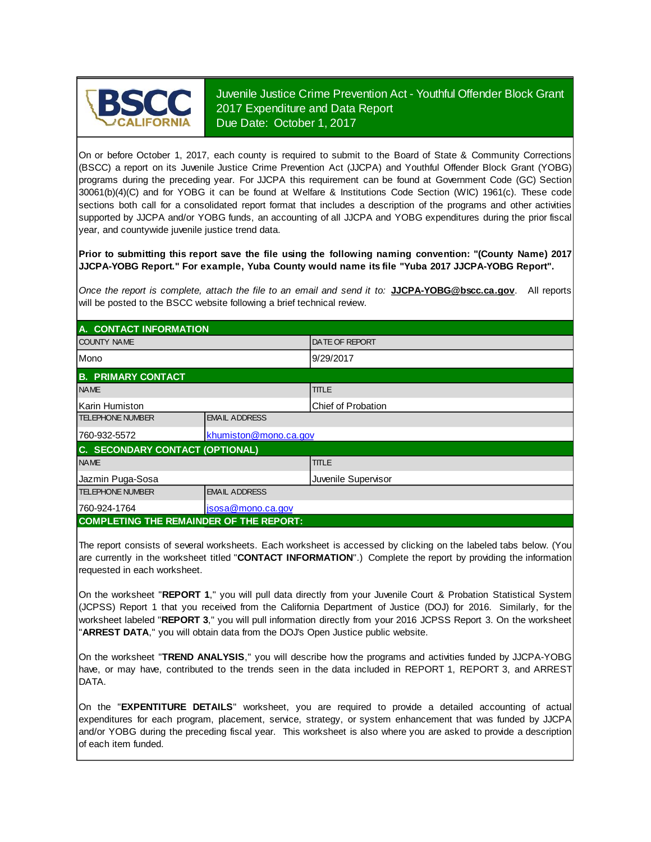

Juvenile Justice Crime Prevention Act - Youthful Offender Block Grant 2017 Expenditure and Data Report Due Date: October 1, 2017

On or before October 1, 2017, each county is required to submit to the Board of State & Community Corrections (BSCC) <sup>a</sup> report on its Juvenile Justice Crime Prevention Act (JJCPA) and Youthful Offender Block Grant (YOBG) programs during the preceding year. For JJCPA this requirement can be found at Government Code (GC) Section 30061(b)(4)(C) and for YOBG it can be found at Welfare & Institutions Code Section (WIC) 1961(c). These code sections both call for <sup>a</sup> consolidated report format that includes <sup>a</sup> description of the programs and other activities supported by JJCPA and/or YOBG funds, an accounting of all JJCPA and YOBG expenditures during the prior fiscal year, and countywide juvenile justice trend data.

**Prior to submitting this report save the file using the following naming convention: "(County Name) 2017 JJCPA-YOBG Report." For example, Yuba County would name its file "Yuba 2017 JJCPA-YOBG Report".**

*Once the report is complete, attach the file t o an email and send it to:* **JJCPA-YOBG@bscc.ca.gov**. All reports will be posted to the BSCC website following a brief technical review.

| A. CONTACT INFORMATION                         |                       |                        |  |  |
|------------------------------------------------|-----------------------|------------------------|--|--|
| <b>COUNTY NAME</b>                             |                       | <b>IDATE OF REPORT</b> |  |  |
| Mono                                           |                       | 9/29/2017              |  |  |
| <b>B. PRIMARY CONTACT</b>                      |                       |                        |  |  |
| <b>NAME</b>                                    |                       | <b>TITLE</b>           |  |  |
| Karin Humiston                                 |                       | Chief of Probation     |  |  |
| <b>TELEPHONE NUMBER</b>                        | <b>EMAIL ADDRESS</b>  |                        |  |  |
| 760-932-5572                                   | khumiston@mono.ca.gov |                        |  |  |
| C. SECONDARY CONTACT (OPTIONAL)                |                       |                        |  |  |
| <b>NAME</b>                                    |                       | <b>TITLE</b>           |  |  |
| Jazmin Puga-Sosa                               |                       | Juvenile Supervisor    |  |  |
| <b>TELEPHONE NUMBER</b>                        | <b>EMAIL ADDRESS</b>  |                        |  |  |
| 760-924-1764                                   | jsosa@mono.ca.gov     |                        |  |  |
| <b>COMPLETING THE REMAINDER OF THE REPORT:</b> |                       |                        |  |  |

The report consists of several worksheets. Each worksheet is accessed by clicking on the labeled tabs below. (You are currently in the worksheet titled "**CONTACT INFORMATION**".) Complete the report by providing the information requested in each worksheet.

On the worksheet "**REPORT 1**, " you will pull data directly from your Juvenile Court & Probation Statistical System (JCPSS) Report 1 that you received from the California Department of Justice (DOJ) for 2016. Similarly, for the worksheet labeled "**REPORT 3**, " you will pull information directly from your 2016 JCPSS Report 3. On the worksheet "**ARREST DATA**," you will obtain data from the DOJ's Open Justice public website.

On the worksheet "**TREND ANALYSIS**, " you will describe how the programs and activities funded by JJCPA-YOBG have, or may have, contributed to the trends seen in the data included in REPORT 1, REPORT 3, and ARREST DATA.

On the "EXPENTITURE DETAILS" worksheet, you are required to provide a detailed accounting of actual expenditures for each program, placement, service, strategy, or system enhancement that was funded by JJCPA and/or YOBG during the preceding fiscal year. This worksheet is also where you are asked to provide a description of each item funded.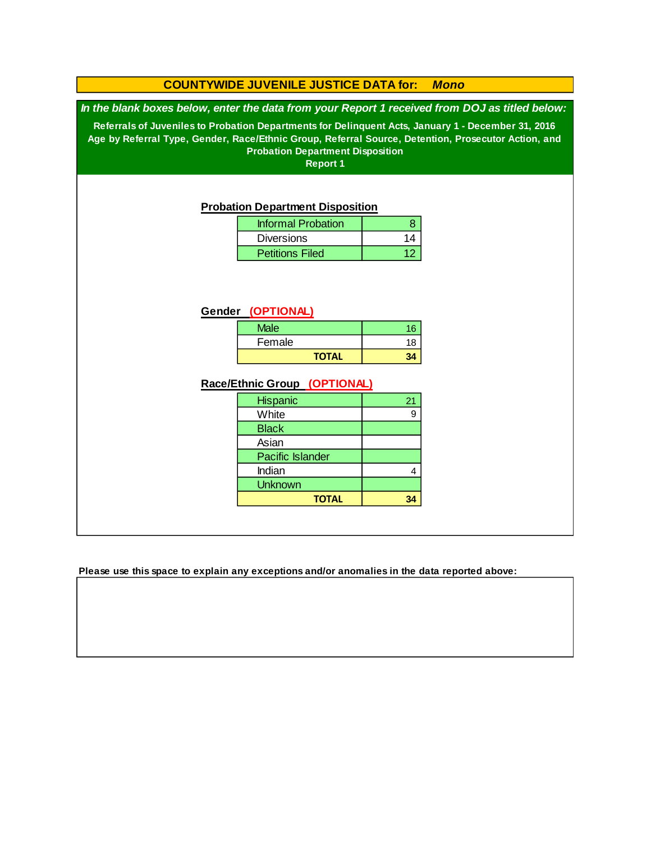### **COUNTYWIDE JUVENILE JUSTICE DATA for:** *Mono*

*In the blank boxes below, enter the data from your Report 1 received from DOJ as titled below:*

**Referrals of Juveniles to Probation Departments for Delinquent Acts, January 1 - December 31, 2016 Age by Referral Type, Gender, Race/Ethnic Group, Referral Source, Detention, Prosecutor Action, and Probation Department Disposition**

**Report 1**

#### **Probation Department Disposition**

| <b>Informal Probation</b> |    |
|---------------------------|----|
| <b>Diversions</b>         | 11 |
| <b>Petitions Filed</b>    |    |

#### **Gender (OPTIONAL)**

| <b>Male</b> | 16 |
|-------------|----|
| Female      | 18 |
| ΤΩΤΔΙ       |    |

#### **Race/Ethnic Group (OPTIONAL)**

| <b>Hispanic</b>         | 21 |
|-------------------------|----|
| White                   |    |
| <b>Black</b>            |    |
| Asian                   |    |
| <b>Pacific Islander</b> |    |
| Indian                  |    |
| <b>Unknown</b>          |    |
| <b>TOTAL</b>            |    |

**Please use this space to explain any exceptions and/or anomalies in the data reported above:**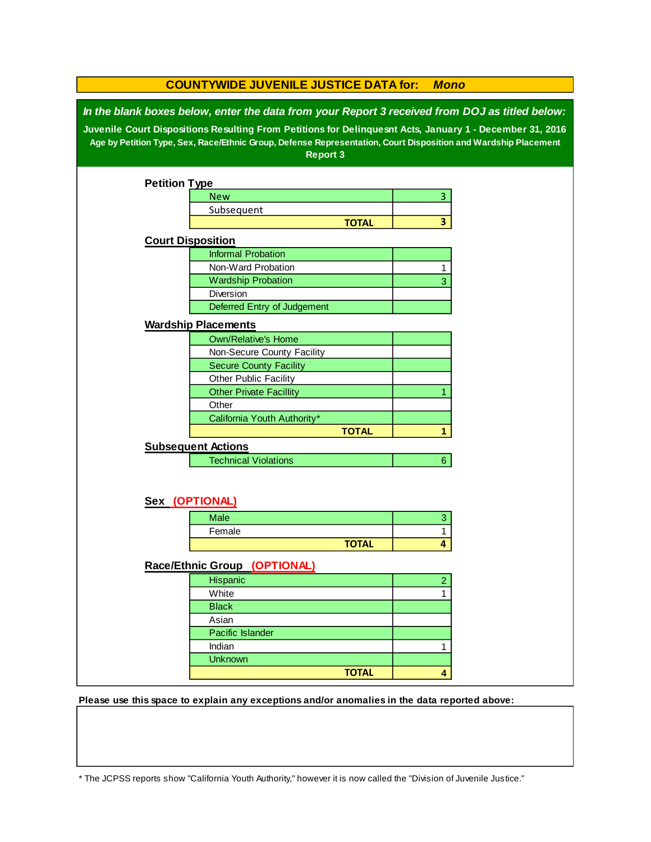|                                                                                                                                                                                                                                                                                                                                                 | <b>COUNTYWIDE JUVENILE JUSTICE DATA for:</b><br><b>Mono</b> |              |                |  |  |
|-------------------------------------------------------------------------------------------------------------------------------------------------------------------------------------------------------------------------------------------------------------------------------------------------------------------------------------------------|-------------------------------------------------------------|--------------|----------------|--|--|
| In the blank boxes below, enter the data from your Report 3 received from DOJ as titled below:<br>Juvenile Court Dispositions Resulting From Petitions for Delinquesnt Acts, January 1 - December 31, 2016<br>Age by Petition Type, Sex, Race/Ethnic Group, Defense Representation, Court Disposition and Wardship Placement<br><b>Report 3</b> |                                                             |              |                |  |  |
| <b>Petition Type</b>                                                                                                                                                                                                                                                                                                                            |                                                             |              |                |  |  |
|                                                                                                                                                                                                                                                                                                                                                 | <b>New</b>                                                  |              | 3              |  |  |
|                                                                                                                                                                                                                                                                                                                                                 | Subsequent                                                  |              |                |  |  |
|                                                                                                                                                                                                                                                                                                                                                 |                                                             | <b>TOTAL</b> | 3              |  |  |
| <b>Court Disposition</b>                                                                                                                                                                                                                                                                                                                        |                                                             |              |                |  |  |
|                                                                                                                                                                                                                                                                                                                                                 | <b>Informal Probation</b>                                   |              |                |  |  |
|                                                                                                                                                                                                                                                                                                                                                 | Non-Ward Probation                                          |              | 1              |  |  |
|                                                                                                                                                                                                                                                                                                                                                 | <b>Wardship Probation</b>                                   |              | 3              |  |  |
|                                                                                                                                                                                                                                                                                                                                                 | Diversion                                                   |              |                |  |  |
|                                                                                                                                                                                                                                                                                                                                                 | Deferred Entry of Judgement                                 |              |                |  |  |
|                                                                                                                                                                                                                                                                                                                                                 |                                                             |              |                |  |  |
|                                                                                                                                                                                                                                                                                                                                                 | <b>Wardship Placements</b>                                  |              |                |  |  |
|                                                                                                                                                                                                                                                                                                                                                 | <b>Own/Relative's Home</b>                                  |              |                |  |  |
|                                                                                                                                                                                                                                                                                                                                                 | Non-Secure County Facility                                  |              |                |  |  |
|                                                                                                                                                                                                                                                                                                                                                 | <b>Secure County Facility</b>                               |              |                |  |  |
|                                                                                                                                                                                                                                                                                                                                                 | Other Public Facility                                       |              |                |  |  |
|                                                                                                                                                                                                                                                                                                                                                 | <b>Other Private Facillity</b>                              |              |                |  |  |
|                                                                                                                                                                                                                                                                                                                                                 | Other                                                       |              |                |  |  |
|                                                                                                                                                                                                                                                                                                                                                 | California Youth Authority*                                 |              |                |  |  |
|                                                                                                                                                                                                                                                                                                                                                 |                                                             | <b>TOTAL</b> | 1              |  |  |
|                                                                                                                                                                                                                                                                                                                                                 | <b>Subsequent Actions</b>                                   |              |                |  |  |
|                                                                                                                                                                                                                                                                                                                                                 | <b>Technical Violations</b>                                 |              | 6 <sup>1</sup> |  |  |
|                                                                                                                                                                                                                                                                                                                                                 | Sex (OPTIONAL)                                              |              |                |  |  |
|                                                                                                                                                                                                                                                                                                                                                 | Male                                                        |              | 3              |  |  |
|                                                                                                                                                                                                                                                                                                                                                 | Female                                                      |              | 1              |  |  |
|                                                                                                                                                                                                                                                                                                                                                 |                                                             | <b>TOTAL</b> | 4              |  |  |
|                                                                                                                                                                                                                                                                                                                                                 |                                                             |              |                |  |  |
|                                                                                                                                                                                                                                                                                                                                                 | Race/Ethnic Group (OPTIONAL)                                |              |                |  |  |
|                                                                                                                                                                                                                                                                                                                                                 | Hispanic                                                    |              | $\overline{2}$ |  |  |
|                                                                                                                                                                                                                                                                                                                                                 | White                                                       |              | 1              |  |  |
|                                                                                                                                                                                                                                                                                                                                                 | <b>Black</b>                                                |              |                |  |  |
|                                                                                                                                                                                                                                                                                                                                                 | Asian                                                       |              |                |  |  |
|                                                                                                                                                                                                                                                                                                                                                 | Pacific Islander                                            |              |                |  |  |
|                                                                                                                                                                                                                                                                                                                                                 | Indian                                                      |              | 1              |  |  |
|                                                                                                                                                                                                                                                                                                                                                 | <b>Unknown</b>                                              |              |                |  |  |
|                                                                                                                                                                                                                                                                                                                                                 |                                                             | <b>TOTAL</b> | 4              |  |  |
|                                                                                                                                                                                                                                                                                                                                                 |                                                             |              |                |  |  |

**Please use this space to explain any exceptions and/or anomalies in the data reported above:** 

\* The JCPSS reports show "California Youth Authority," however it is now called the "Division of Juvenile Justice."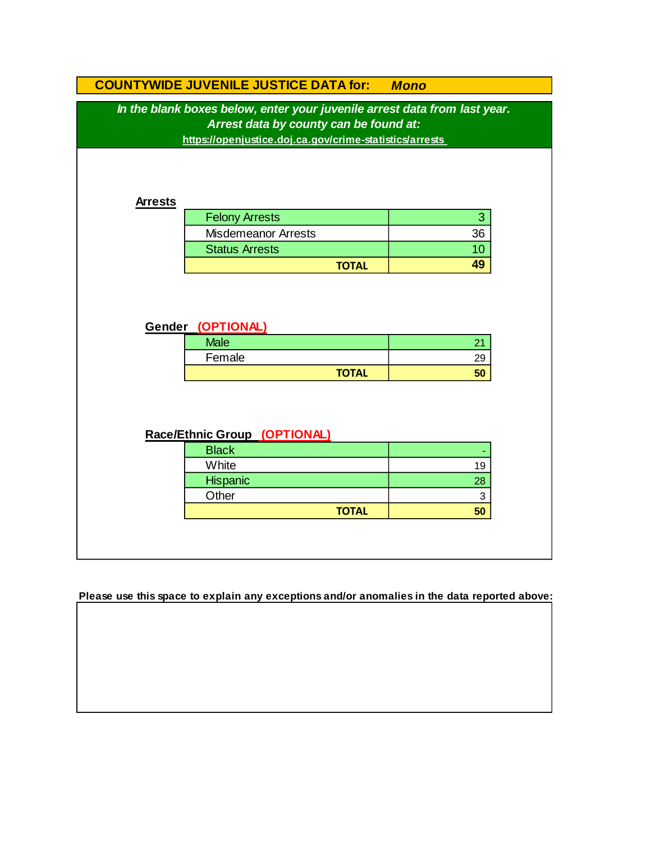|                                                                                                                                                                                | <b>COUNTYWIDE JUVENILE JUSTICE DATA for:</b> | <b>Mono</b> |  |  |  |
|--------------------------------------------------------------------------------------------------------------------------------------------------------------------------------|----------------------------------------------|-------------|--|--|--|
| In the blank boxes below, enter your juvenile arrest data from last year.<br>Arrest data by county can be found at:<br>https://openjustice.doj.ca.gov/crime-statistics/arrests |                                              |             |  |  |  |
| <b>Arrests</b>                                                                                                                                                                 |                                              |             |  |  |  |
|                                                                                                                                                                                | <b>Felony Arrests</b>                        | 3           |  |  |  |
|                                                                                                                                                                                | <b>Misdemeanor Arrests</b>                   | 36          |  |  |  |
|                                                                                                                                                                                | <b>Status Arrests</b>                        | 10          |  |  |  |
|                                                                                                                                                                                | <b>TOTAL</b>                                 | 49          |  |  |  |
|                                                                                                                                                                                | Gender (OPTIONAL)<br><b>Male</b><br>Female   | 21<br>29    |  |  |  |
|                                                                                                                                                                                | <b>TOTAL</b>                                 | 50          |  |  |  |
| Race/Ethnic Group (OPTIONAL)                                                                                                                                                   |                                              |             |  |  |  |
|                                                                                                                                                                                | <b>Black</b>                                 |             |  |  |  |
|                                                                                                                                                                                | White                                        | 19          |  |  |  |
|                                                                                                                                                                                | Hispanic                                     | 28          |  |  |  |
|                                                                                                                                                                                | Other                                        | 3           |  |  |  |
|                                                                                                                                                                                | <b>TOTAL</b>                                 | 50          |  |  |  |
|                                                                                                                                                                                |                                              |             |  |  |  |

**Please use this space to explain any exceptions and/or anomalies in the data reported above:**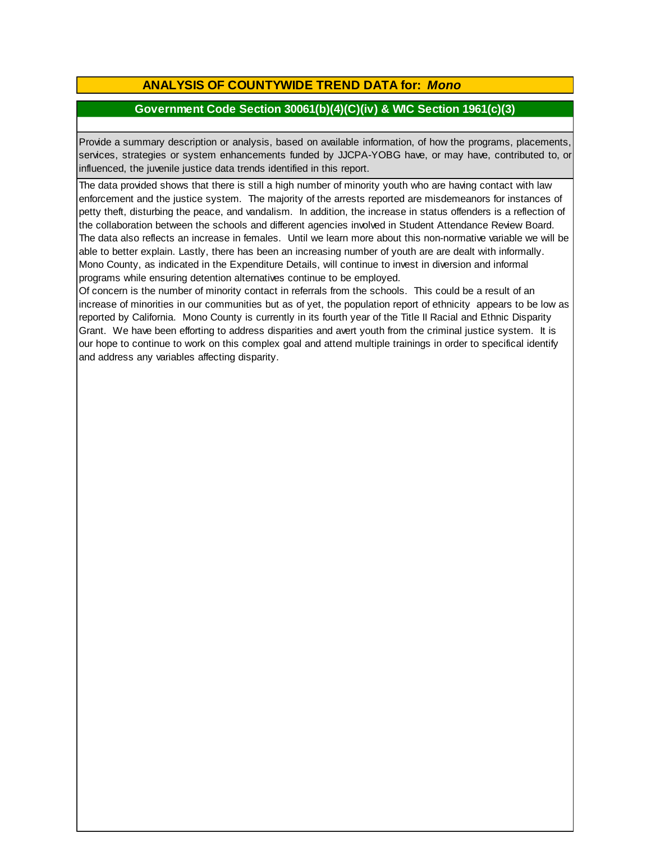## **ANALYSIS OF COUNTYWIDE TREND DATA for:** *Mono*

## **Government Code Section 30061(b)(4)(C)(iv) & WIC Section 1961(c)(3)**

Provide <sup>a</sup> summary description or analysis, based on available information, of how the programs, placements, services, strategies or system enhancements funded by JJCPA-YOBG have, or may have, contributed to, or influenced, the juvenile justice data trends identified in this report.

The data provided shows that there is still a high number of minority youth who are having contact with law enforcement and the justice system. The majority of the arrests reported are misdemeanors for instances of petty theft, disturbing the peace, and vandalism. In addition, the increase in status offenders is a reflection of the collaboration between the schools and different agencies involved in Student Attendance Review Board. The data also reflects an increase in females. Until we learn more about this non-normative variable we will be able to better explain. Lastly, there has been an increasing number of youth are are dealt with informally. Mono County, as indicated in the Expenditure Details, will continue to invest in diversion and informal programs while ensuring detention alternatives continue to be employed.

Of concern is the number of minority contact in referrals from the schools. This could be a result of an increase of minorities in our communities but as of yet, the population report of ethnicity appears to be low as reported by California. Mono County is currently in its fourth year of the Title II Racial and Ethnic Disparity Grant. We have been efforting to address disparities and avert youth from the criminal justice system. It is our hope to continue to work on this complex goal and attend multiple trainings in order to specifical identify and address any variables affecting disparity.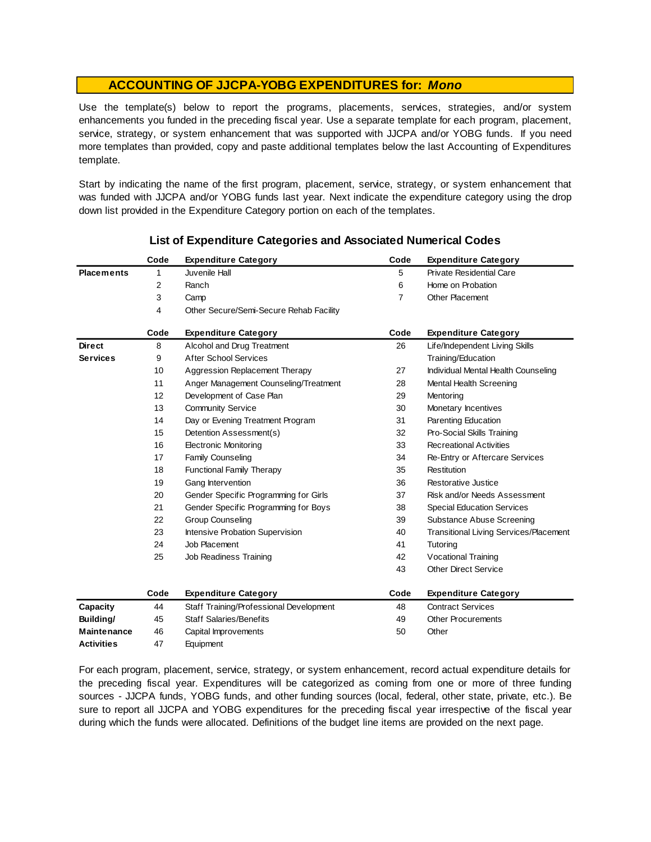Use the template(s) below to report the programs, placements, services, strategies, and/or system enhancements you funded in the preceding fiscal year. Use <sup>a</sup> separate template for each program, placement, service, strategy, or system enhancement that was supported with JJCPA and/or YOBG funds. If you need more templates than provided, copy and paste additional templates below the last Accounting of Expenditures template.

Start by indicating the name of the first program, placement, service, strategy, or system enhancement that was funded with JJCPA and/or YOBG funds last year. Next indicate the expenditure category using the drop down list provided in the Expenditure Category portion on each of the templates.

|                    | Code | <b>Expenditure Category</b>             | Code           | <b>Expenditure Category</b>                   |
|--------------------|------|-----------------------------------------|----------------|-----------------------------------------------|
| <b>Placements</b>  | 1    | Juvenile Hall                           | 5              | <b>Private Residential Care</b>               |
|                    | 2    | Ranch                                   | 6              | Home on Probation                             |
|                    | 3    | Camp                                    | $\overline{7}$ | Other Placement                               |
|                    | 4    | Other Secure/Semi-Secure Rehab Facility |                |                                               |
|                    | Code | <b>Expenditure Category</b>             | Code           | <b>Expenditure Category</b>                   |
| <b>Direct</b>      | 8    | Alcohol and Drug Treatment              | 26             | Life/Independent Living Skills                |
| <b>Services</b>    | 9    | <b>After School Services</b>            |                | Training/Education                            |
|                    | 10   | Aggression Replacement Therapy          | 27             | Individual Mental Health Counseling           |
|                    | 11   | Anger Management Counseling/Treatment   | 28             | Mental Health Screening                       |
|                    | 12   | Development of Case Plan                | 29             | Mentoring                                     |
|                    | 13   | <b>Community Service</b>                | 30             | Monetary Incentives                           |
|                    | 14   | Day or Evening Treatment Program        | 31             | Parenting Education                           |
|                    | 15   | Detention Assessment(s)                 | 32             | Pro-Social Skills Training                    |
|                    | 16   | <b>Electronic Monitoring</b>            | 33             | <b>Recreational Activities</b>                |
|                    | 17   | <b>Family Counseling</b>                | 34             | Re-Entry or Aftercare Services                |
|                    | 18   | <b>Functional Family Therapy</b>        | 35             | Restitution                                   |
|                    | 19   | Gang Intervention                       | 36             | Restorative Justice                           |
|                    | 20   | Gender Specific Programming for Girls   | 37             | Risk and/or Needs Assessment                  |
|                    | 21   | Gender Specific Programming for Boys    | 38             | <b>Special Education Services</b>             |
|                    | 22   | <b>Group Counseling</b>                 | 39             | Substance Abuse Screening                     |
|                    | 23   | Intensive Probation Supervision         | 40             | <b>Transitional Living Services/Placement</b> |
|                    | 24   | Job Placement                           | 41             | Tutoring                                      |
|                    | 25   | Job Readiness Training                  | 42             | Vocational Training                           |
|                    |      |                                         | 43             | <b>Other Direct Service</b>                   |
|                    | Code | <b>Expenditure Category</b>             | Code           | <b>Expenditure Category</b>                   |
| Capacity           | 44   | Staff Training/Professional Development | 48             | <b>Contract Services</b>                      |
| Building/          | 45   | <b>Staff Salaries/Benefits</b>          | 49             | <b>Other Procurements</b>                     |
| <b>Maintenance</b> | 46   | Capital Improvements                    | 50             | Other                                         |
| <b>Activities</b>  | 47   | Equipment                               |                |                                               |

### **List of Expenditure Categories and Associated Numerical Codes**

For each program, placement, service, strategy, or system enhancement, record actual expenditure details for the preceding fiscal year. Expenditures will be categorized as coming from one or more of three funding sources - JJCPA funds, YOBG funds, and other funding sources (local, federal, other state, private, etc.). Be sure to report all JJCPA and YOBG expenditures for the preceding fiscal year irrespective of the fiscal year during which the funds were allocated. Definitions of the budget line items are provided on the next page.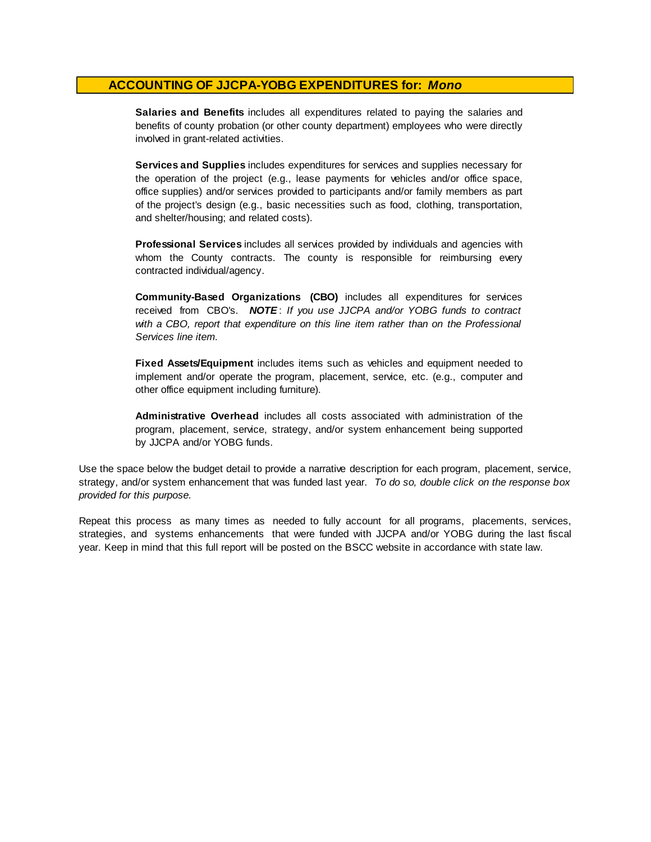**Salaries and Benefits** includes all expenditures related to paying the salaries and benefits of county probation (or other county department) employees who were directly involved in grant-related activities.

**Services and Supplies** includes expenditures for services and supplies necessary for the operation of the project (e.g., lease payments for vehicles and/or office space, office supplies) and/or services provided to participants and/or family members as part of the project's design (e.g., basic necessities such as food, clothing, transportation, and shelter/housing; and related costs).

**Professional Services** includes all services provided by individuals and agencies with whom the County contracts. The county is responsible for reimbursing every contracted individual/agency.

**Community-Based Organizations (CBO)** includes all expenditures for services received from CBO's. *NOTE* : *I f you use JJCPA and/or YOBG funds t o contract with <sup>a</sup> CBO, report that expenditure on this line item rather than on the Professional Services line item.*

**Fixed Assets/Equipment** includes items such as vehicles and equipment needed to implement and/or operate the program, placement, service, etc. (e.g., computer and other office equipment including furniture).

**Administrative Overhead** includes all costs associated with administration of the program, placement, service, strategy, and/or system enhancement being supported by JJCPA and/or YOBG funds.

Use the space below the budget detail to provide a narrative description for each program, placement, service, strategy, and/or system enhancement that was funded last year. *To do so, double click on the response box provided for this purpose.* 

Repeat this process as many times as needed to fully account for all programs, placements, services, strategies, and systems enhancements that were funded with JJCPA and/or YOBG during the last fiscal year. Keep in mind that this full report will be posted on the BSCC website in accordance with state law.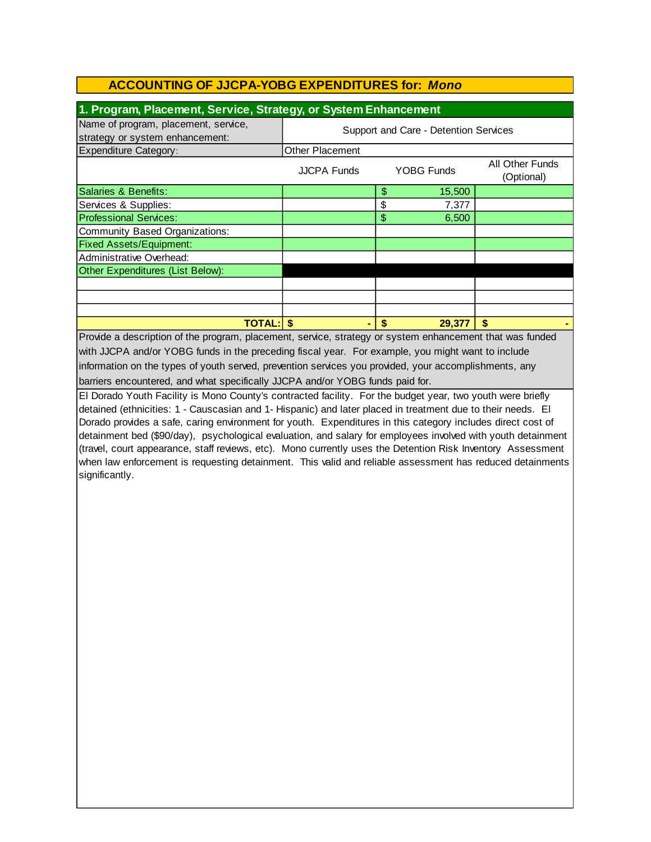| 1. Program, Placement, Service, Strategy, or System Enhancement                                                                                                                                                                                                                                                                                                                                                                                                                                                                                                                          |                                       |                       |            |                               |  |
|------------------------------------------------------------------------------------------------------------------------------------------------------------------------------------------------------------------------------------------------------------------------------------------------------------------------------------------------------------------------------------------------------------------------------------------------------------------------------------------------------------------------------------------------------------------------------------------|---------------------------------------|-----------------------|------------|-------------------------------|--|
| Name of program, placement, service,                                                                                                                                                                                                                                                                                                                                                                                                                                                                                                                                                     |                                       |                       |            |                               |  |
| strategy or system enhancement:                                                                                                                                                                                                                                                                                                                                                                                                                                                                                                                                                          | Support and Care - Detention Services |                       |            |                               |  |
| <b>Expenditure Category:</b>                                                                                                                                                                                                                                                                                                                                                                                                                                                                                                                                                             | Other Placement                       |                       |            |                               |  |
|                                                                                                                                                                                                                                                                                                                                                                                                                                                                                                                                                                                          | <b>JJCPA Funds</b>                    |                       | YOBG Funds | All Other Funds<br>(Optional) |  |
| Salaries & Benefits:                                                                                                                                                                                                                                                                                                                                                                                                                                                                                                                                                                     |                                       | $\boldsymbol{\theta}$ | 15,500     |                               |  |
| Services & Supplies:                                                                                                                                                                                                                                                                                                                                                                                                                                                                                                                                                                     |                                       | \$                    | 7,377      |                               |  |
| <b>Professional Services:</b>                                                                                                                                                                                                                                                                                                                                                                                                                                                                                                                                                            |                                       | \$                    | 6,500      |                               |  |
| <b>Community Based Organizations:</b>                                                                                                                                                                                                                                                                                                                                                                                                                                                                                                                                                    |                                       |                       |            |                               |  |
| <b>Fixed Assets/Equipment:</b>                                                                                                                                                                                                                                                                                                                                                                                                                                                                                                                                                           |                                       |                       |            |                               |  |
| Administrative Overhead:                                                                                                                                                                                                                                                                                                                                                                                                                                                                                                                                                                 |                                       |                       |            |                               |  |
| Other Expenditures (List Below):                                                                                                                                                                                                                                                                                                                                                                                                                                                                                                                                                         |                                       |                       |            |                               |  |
|                                                                                                                                                                                                                                                                                                                                                                                                                                                                                                                                                                                          |                                       |                       |            |                               |  |
|                                                                                                                                                                                                                                                                                                                                                                                                                                                                                                                                                                                          |                                       |                       |            |                               |  |
|                                                                                                                                                                                                                                                                                                                                                                                                                                                                                                                                                                                          |                                       |                       |            |                               |  |
| <b>TOTAL: \$</b>                                                                                                                                                                                                                                                                                                                                                                                                                                                                                                                                                                         |                                       | \$                    | 29,377     | \$                            |  |
| Provide a description of the program, placement, service, strategy or system enhancement that was funded                                                                                                                                                                                                                                                                                                                                                                                                                                                                                 |                                       |                       |            |                               |  |
| with JJCPA and/or YOBG funds in the preceding fiscal year. For example, you might want to include                                                                                                                                                                                                                                                                                                                                                                                                                                                                                        |                                       |                       |            |                               |  |
| information on the types of youth served, prevention services you provided, your accomplishments, any                                                                                                                                                                                                                                                                                                                                                                                                                                                                                    |                                       |                       |            |                               |  |
| barriers encountered, and what specifically JJCPA and/or YOBG funds paid for.                                                                                                                                                                                                                                                                                                                                                                                                                                                                                                            |                                       |                       |            |                               |  |
| El Dorado Youth Facility is Mono County's contracted facility. For the budget year, two youth were briefly                                                                                                                                                                                                                                                                                                                                                                                                                                                                               |                                       |                       |            |                               |  |
| detained (ethnicities: 1 - Causcasian and 1- Hispanic) and later placed in treatment due to their needs. El<br>Dorado provides a safe, caring environment for youth. Expenditures in this category includes direct cost of<br>detainment bed (\$90/day), psychological evaluation, and salary for employees involved with youth detainment<br>(travel, court appearance, staff reviews, etc). Mono currently uses the Detention Risk Inventory Assessment<br>when law enforcement is requesting detainment. This valid and reliable assessment has reduced detainments<br>significantly. |                                       |                       |            |                               |  |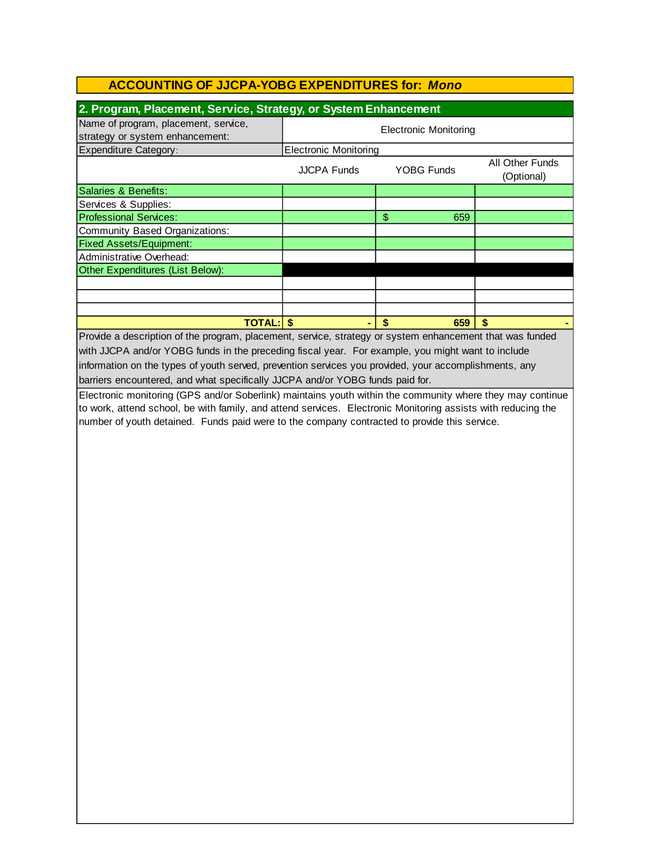| 2. Program, Placement, Service, Strategy, or System Enhancement                                              |                                                                   |           |               |  |  |  |  |
|--------------------------------------------------------------------------------------------------------------|-------------------------------------------------------------------|-----------|---------------|--|--|--|--|
| Name of program, placement, service,<br>strategy or system enhancement:                                      | <b>Electronic Monitoring</b>                                      |           |               |  |  |  |  |
| <b>Expenditure Category:</b>                                                                                 | <b>Electronic Monitoring</b>                                      |           |               |  |  |  |  |
|                                                                                                              | All Other Funds<br>YOBG Funds<br><b>JJCPA Funds</b><br>(Optional) |           |               |  |  |  |  |
| Salaries & Benefits:                                                                                         |                                                                   |           |               |  |  |  |  |
| Services & Supplies:                                                                                         |                                                                   |           |               |  |  |  |  |
| <b>Professional Services:</b>                                                                                |                                                                   | \$<br>659 |               |  |  |  |  |
| <b>Community Based Organizations:</b>                                                                        |                                                                   |           |               |  |  |  |  |
| <b>Fixed Assets/Equipment:</b>                                                                               |                                                                   |           |               |  |  |  |  |
| Administrative Overhead:                                                                                     |                                                                   |           |               |  |  |  |  |
| Other Expenditures (List Below):                                                                             |                                                                   |           |               |  |  |  |  |
|                                                                                                              |                                                                   |           |               |  |  |  |  |
|                                                                                                              |                                                                   |           |               |  |  |  |  |
|                                                                                                              |                                                                   |           |               |  |  |  |  |
| <b>TOTAL: \$</b>                                                                                             |                                                                   | \$<br>659 | $\mathbf{\$}$ |  |  |  |  |
| Provide a description of the program, placement, service, strategy or system enhancement that was funded     |                                                                   |           |               |  |  |  |  |
| with JJCPA and/or YOBG funds in the preceding fiscal year. For example, you might want to include            |                                                                   |           |               |  |  |  |  |
| information on the types of youth served, prevention services you provided, your accomplishments, any        |                                                                   |           |               |  |  |  |  |
| barriers encountered, and what specifically JJCPA and/or YOBG funds paid for.                                |                                                                   |           |               |  |  |  |  |
| Electronic monitoring (GPS and/or Soberlink) maintains youth within the community where they may continue    |                                                                   |           |               |  |  |  |  |
| to work, attend school, be with family, and attend services. Electronic Monitoring assists with reducing the |                                                                   |           |               |  |  |  |  |
| number of youth detained. Funds paid were to the company contracted to provide this service.                 |                                                                   |           |               |  |  |  |  |
|                                                                                                              |                                                                   |           |               |  |  |  |  |
|                                                                                                              |                                                                   |           |               |  |  |  |  |
|                                                                                                              |                                                                   |           |               |  |  |  |  |
|                                                                                                              |                                                                   |           |               |  |  |  |  |
|                                                                                                              |                                                                   |           |               |  |  |  |  |
|                                                                                                              |                                                                   |           |               |  |  |  |  |
|                                                                                                              |                                                                   |           |               |  |  |  |  |
|                                                                                                              |                                                                   |           |               |  |  |  |  |
|                                                                                                              |                                                                   |           |               |  |  |  |  |
|                                                                                                              |                                                                   |           |               |  |  |  |  |
|                                                                                                              |                                                                   |           |               |  |  |  |  |
|                                                                                                              |                                                                   |           |               |  |  |  |  |
|                                                                                                              |                                                                   |           |               |  |  |  |  |
|                                                                                                              |                                                                   |           |               |  |  |  |  |
|                                                                                                              |                                                                   |           |               |  |  |  |  |
|                                                                                                              |                                                                   |           |               |  |  |  |  |
|                                                                                                              |                                                                   |           |               |  |  |  |  |
|                                                                                                              |                                                                   |           |               |  |  |  |  |
|                                                                                                              |                                                                   |           |               |  |  |  |  |
|                                                                                                              |                                                                   |           |               |  |  |  |  |
|                                                                                                              |                                                                   |           |               |  |  |  |  |
|                                                                                                              |                                                                   |           |               |  |  |  |  |
|                                                                                                              |                                                                   |           |               |  |  |  |  |
|                                                                                                              |                                                                   |           |               |  |  |  |  |
|                                                                                                              |                                                                   |           |               |  |  |  |  |
|                                                                                                              |                                                                   |           |               |  |  |  |  |
|                                                                                                              |                                                                   |           |               |  |  |  |  |
|                                                                                                              |                                                                   |           |               |  |  |  |  |
|                                                                                                              |                                                                   |           |               |  |  |  |  |
|                                                                                                              |                                                                   |           |               |  |  |  |  |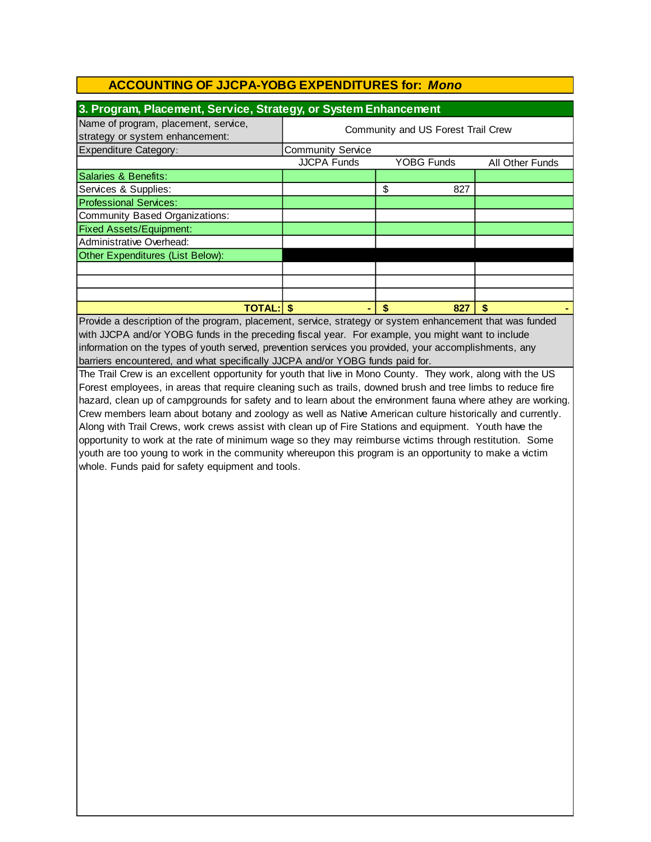| 3. Program, Placement, Service, Strategy, or System Enhancement         |                                    |                   |                 |  |  |  |
|-------------------------------------------------------------------------|------------------------------------|-------------------|-----------------|--|--|--|
| Name of program, placement, service,<br>strategy or system enhancement: | Community and US Forest Trail Crew |                   |                 |  |  |  |
| <b>Expenditure Category:</b>                                            | <b>Community Service</b>           |                   |                 |  |  |  |
|                                                                         | <b>JJCPA Funds</b>                 | <b>YOBG Funds</b> | All Other Funds |  |  |  |
| Salaries & Benefits:                                                    |                                    |                   |                 |  |  |  |
| Services & Supplies:                                                    | \$<br>827                          |                   |                 |  |  |  |
| <b>Professional Services:</b>                                           |                                    |                   |                 |  |  |  |
| Community Based Organizations:                                          |                                    |                   |                 |  |  |  |
| <b>Fixed Assets/Equipment:</b>                                          |                                    |                   |                 |  |  |  |
| Administrative Overhead:                                                |                                    |                   |                 |  |  |  |
| Other Expenditures (List Below):                                        |                                    |                   |                 |  |  |  |
|                                                                         |                                    |                   |                 |  |  |  |
|                                                                         |                                    |                   |                 |  |  |  |
|                                                                         |                                    |                   |                 |  |  |  |
| <b>TOTAL: S</b><br>827<br>S                                             |                                    |                   |                 |  |  |  |

barriers encountered, and what specifically JJCPA and/or YOBG funds paid for. information on the types of youth served, prevention services you provided, your accomplishments, any Provide a description of the program, placement, service, strategy or system enhancement that was funded with JJCPA and/or YOBG funds in the preceding fiscal year. For example, you might want to include

The Trail Crew is an excellent opportunity for youth that live in Mono County. They work, along with the US Forest employees, in areas that require cleaning such as trails, downed brush and tree limbs to reduce fire hazard, clean up of campgrounds for safety and to learn about the environment fauna where athey are working. Crew members learn about botany and zoology as well as Native American culture historically and currently. Along with Trail Crews, work crews assist with clean up of Fire Stations and equipment. Youth have the opportunity to work at the rate of minimum wage so they may reimburse victims through restitution. Some youth are too young to work in the community whereupon this program is an opportunity to make a victim whole. Funds paid for safety equipment and tools.